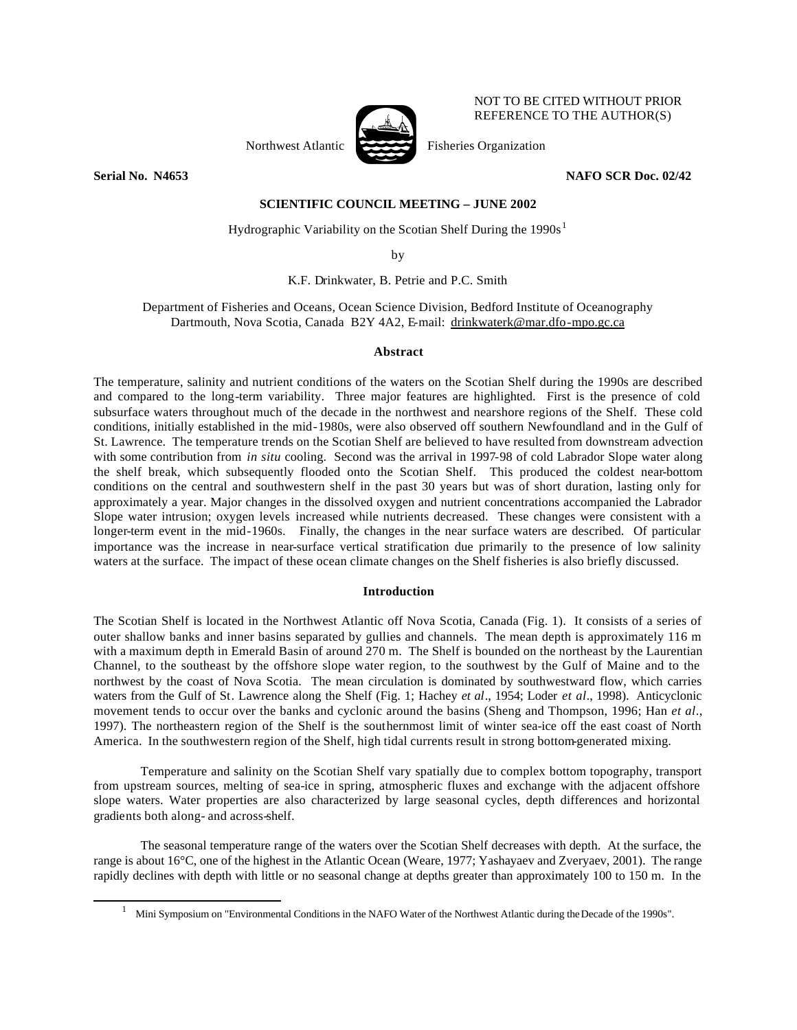

NOT TO BE CITED WITHOUT PRIOR REFERENCE TO THE AUTHOR(S)

l

**Serial No. N4653 NAFO SCR Doc. 02/42** 

## **SCIENTIFIC COUNCIL MEETING – JUNE 2002**

Hydrographic Variability on the Scotian Shelf During the  $1990s<sup>1</sup>$ 

by

K.F. Drinkwater, B. Petrie and P.C. Smith

Department of Fisheries and Oceans, Ocean Science Division, Bedford Institute of Oceanography Dartmouth, Nova Scotia, Canada B2Y 4A2, E-mail: drinkwaterk@mar.dfo-mpo.gc.ca

# **Abstract**

The temperature, salinity and nutrient conditions of the waters on the Scotian Shelf during the 1990s are described and compared to the long-term variability. Three major features are highlighted. First is the presence of cold subsurface waters throughout much of the decade in the northwest and nearshore regions of the Shelf. These cold conditions, initially established in the mid-1980s, were also observed off southern Newfoundland and in the Gulf of St. Lawrence. The temperature trends on the Scotian Shelf are believed to have resulted from downstream advection with some contribution from *in situ* cooling. Second was the arrival in 1997-98 of cold Labrador Slope water along the shelf break, which subsequently flooded onto the Scotian Shelf. This produced the coldest near-bottom conditions on the central and southwestern shelf in the past 30 years but was of short duration, lasting only for approximately a year. Major changes in the dissolved oxygen and nutrient concentrations accompanied the Labrador Slope water intrusion; oxygen levels increased while nutrients decreased. These changes were consistent with a longer-term event in the mid-1960s. Finally, the changes in the near surface waters are described. Of particular importance was the increase in near-surface vertical stratification due primarily to the presence of low salinity waters at the surface. The impact of these ocean climate changes on the Shelf fisheries is also briefly discussed.

### **Introduction**

The Scotian Shelf is located in the Northwest Atlantic off Nova Scotia, Canada (Fig. 1). It consists of a series of outer shallow banks and inner basins separated by gullies and channels. The mean depth is approximately 116 m with a maximum depth in Emerald Basin of around 270 m. The Shelf is bounded on the northeast by the Laurentian Channel, to the southeast by the offshore slope water region, to the southwest by the Gulf of Maine and to the northwest by the coast of Nova Scotia. The mean circulation is dominated by southwestward flow, which carries waters from the Gulf of St. Lawrence along the Shelf (Fig. 1; Hachey *et al*., 1954; Loder *et al*., 1998). Anticyclonic movement tends to occur over the banks and cyclonic around the basins (Sheng and Thompson, 1996; Han *et al*., 1997). The northeastern region of the Shelf is the southernmost limit of winter sea-ice off the east coast of North America. In the southwestern region of the Shelf, high tidal currents result in strong bottom-generated mixing.

Temperature and salinity on the Scotian Shelf vary spatially due to complex bottom topography, transport from upstream sources, melting of sea-ice in spring, atmospheric fluxes and exchange with the adjacent offshore slope waters. Water properties are also characterized by large seasonal cycles, depth differences and horizontal gradients both along- and across-shelf.

The seasonal temperature range of the waters over the Scotian Shelf decreases with depth. At the surface, the range is about 16°C, one of the highest in the Atlantic Ocean (Weare, 1977; Yashayaev and Zveryaev, 2001). The range rapidly declines with depth with little or no seasonal change at depths greater than approximately 100 to 150 m. In the

<sup>1</sup> Mini Symposium on "Environmental Conditions in the NAFO Water of the Northwest Atlantic during the Decade of the 1990s".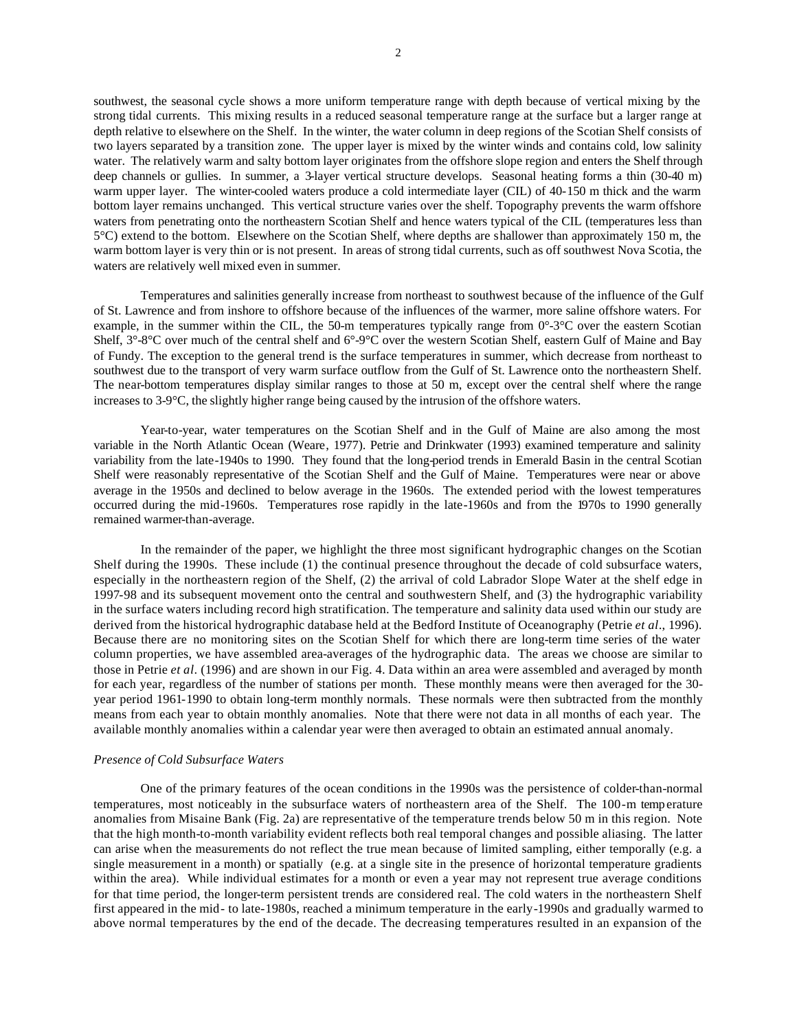southwest, the seasonal cycle shows a more uniform temperature range with depth because of vertical mixing by the strong tidal currents. This mixing results in a reduced seasonal temperature range at the surface but a larger range at depth relative to elsewhere on the Shelf. In the winter, the water column in deep regions of the Scotian Shelf consists of two layers separated by a transition zone. The upper layer is mixed by the winter winds and contains cold, low salinity water. The relatively warm and salty bottom layer originates from the offshore slope region and enters the Shelf through deep channels or gullies. In summer, a 3-layer vertical structure develops. Seasonal heating forms a thin (30-40 m) warm upper layer. The winter-cooled waters produce a cold intermediate layer (CIL) of 40-150 m thick and the warm bottom layer remains unchanged. This vertical structure varies over the shelf. Topography prevents the warm offshore waters from penetrating onto the northeastern Scotian Shelf and hence waters typical of the CIL (temperatures less than 5°C) extend to the bottom. Elsewhere on the Scotian Shelf, where depths are shallower than approximately 150 m, the warm bottom layer is very thin or is not present. In areas of strong tidal currents, such as off southwest Nova Scotia, the waters are relatively well mixed even in summer.

Temperatures and salinities generally increase from northeast to southwest because of the influence of the Gulf of St. Lawrence and from inshore to offshore because of the influences of the warmer, more saline offshore waters. For example, in the summer within the CIL, the 50-m temperatures typically range from  $0^{\circ}$ -3 $^{\circ}$ C over the eastern Scotian Shelf, 3°-8°C over much of the central shelf and 6°-9°C over the western Scotian Shelf, eastern Gulf of Maine and Bay of Fundy. The exception to the general trend is the surface temperatures in summer, which decrease from northeast to southwest due to the transport of very warm surface outflow from the Gulf of St. Lawrence onto the northeastern Shelf. The near-bottom temperatures display similar ranges to those at 50 m, except over the central shelf where the range increases to 3-9°C, the slightly higher range being caused by the intrusion of the offshore waters.

Year-to-year, water temperatures on the Scotian Shelf and in the Gulf of Maine are also among the most variable in the North Atlantic Ocean (Weare, 1977). Petrie and Drinkwater (1993) examined temperature and salinity variability from the late-1940s to 1990. They found that the long-period trends in Emerald Basin in the central Scotian Shelf were reasonably representative of the Scotian Shelf and the Gulf of Maine. Temperatures were near or above average in the 1950s and declined to below average in the 1960s. The extended period with the lowest temperatures occurred during the mid-1960s. Temperatures rose rapidly in the late-1960s and from the 1970s to 1990 generally remained warmer-than-average.

In the remainder of the paper, we highlight the three most significant hydrographic changes on the Scotian Shelf during the 1990s. These include (1) the continual presence throughout the decade of cold subsurface waters, especially in the northeastern region of the Shelf, (2) the arrival of cold Labrador Slope Water at the shelf edge in 1997-98 and its subsequent movement onto the central and southwestern Shelf, and (3) the hydrographic variability in the surface waters including record high stratification. The temperature and salinity data used within our study are derived from the historical hydrographic database held at the Bedford Institute of Oceanography (Petrie *et al*., 1996). Because there are no monitoring sites on the Scotian Shelf for which there are long-term time series of the water column properties, we have assembled area-averages of the hydrographic data. The areas we choose are similar to those in Petrie *et al*. (1996) and are shown in our Fig. 4. Data within an area were assembled and averaged by month for each year, regardless of the number of stations per month. These monthly means were then averaged for the 30 year period 1961-1990 to obtain long-term monthly normals. These normals were then subtracted from the monthly means from each year to obtain monthly anomalies. Note that there were not data in all months of each year. The available monthly anomalies within a calendar year were then averaged to obtain an estimated annual anomaly.

#### *Presence of Cold Subsurface Waters*

One of the primary features of the ocean conditions in the 1990s was the persistence of colder-than-normal temperatures, most noticeably in the subsurface waters of northeastern area of the Shelf. The 100-m temperature anomalies from Misaine Bank (Fig. 2a) are representative of the temperature trends below 50 m in this region. Note that the high month-to-month variability evident reflects both real temporal changes and possible aliasing. The latter can arise when the measurements do not reflect the true mean because of limited sampling, either temporally (e.g. a single measurement in a month) or spatially (e.g. at a single site in the presence of horizontal temperature gradients within the area). While individual estimates for a month or even a year may not represent true average conditions for that time period, the longer-term persistent trends are considered real. The cold waters in the northeastern Shelf first appeared in the mid- to late-1980s, reached a minimum temperature in the early-1990s and gradually warmed to above normal temperatures by the end of the decade. The decreasing temperatures resulted in an expansion of the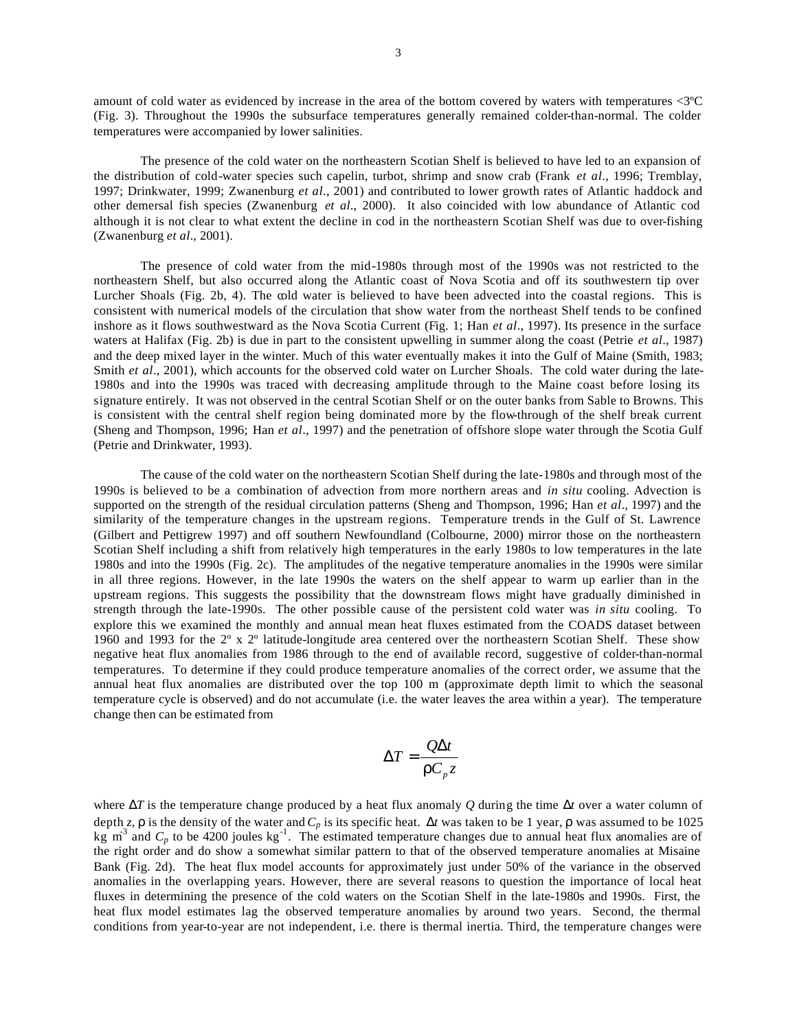amount of cold water as evidenced by increase in the area of the bottom covered by waters with temperatures <3ºC (Fig. 3). Throughout the 1990s the subsurface temperatures generally remained colder-than-normal. The colder temperatures were accompanied by lower salinities.

The presence of the cold water on the northeastern Scotian Shelf is believed to have led to an expansion of the distribution of cold-water species such capelin, turbot, shrimp and snow crab (Frank *et al*., 1996; Tremblay, 1997; Drinkwater, 1999; Zwanenburg *et al*., 2001) and contributed to lower growth rates of Atlantic haddock and other demersal fish species (Zwanenburg *et al*., 2000). It also coincided with low abundance of Atlantic cod although it is not clear to what extent the decline in cod in the northeastern Scotian Shelf was due to over-fishing (Zwanenburg *et al*., 2001).

The presence of cold water from the mid-1980s through most of the 1990s was not restricted to the northeastern Shelf, but also occurred along the Atlantic coast of Nova Scotia and off its southwestern tip over Lurcher Shoals (Fig. 2b, 4). The cold water is believed to have been advected into the coastal regions. This is consistent with numerical models of the circulation that show water from the northeast Shelf tends to be confined inshore as it flows southwestward as the Nova Scotia Current (Fig. 1; Han *et al*., 1997). Its presence in the surface waters at Halifax (Fig. 2b) is due in part to the consistent upwelling in summer along the coast (Petrie *et al*., 1987) and the deep mixed layer in the winter. Much of this water eventually makes it into the Gulf of Maine (Smith, 1983; Smith *et al.*, 2001), which accounts for the observed cold water on Lurcher Shoals. The cold water during the late-1980s and into the 1990s was traced with decreasing amplitude through to the Maine coast before losing its signature entirely. It was not observed in the central Scotian Shelf or on the outer banks from Sable to Browns. This is consistent with the central shelf region being dominated more by the flow-through of the shelf break current (Sheng and Thompson, 1996; Han *et al*., 1997) and the penetration of offshore slope water through the Scotia Gulf (Petrie and Drinkwater, 1993).

The cause of the cold water on the northeastern Scotian Shelf during the late-1980s and through most of the 1990s is believed to be a combination of advection from more northern areas and *in situ* cooling. Advection is supported on the strength of the residual circulation patterns (Sheng and Thompson, 1996; Han *et al*., 1997) and the similarity of the temperature changes in the upstream regions. Temperature trends in the Gulf of St. Lawrence (Gilbert and Pettigrew 1997) and off southern Newfoundland (Colbourne, 2000) mirror those on the northeastern Scotian Shelf including a shift from relatively high temperatures in the early 1980s to low temperatures in the late 1980s and into the 1990s (Fig. 2c). The amplitudes of the negative temperature anomalies in the 1990s were similar in all three regions. However, in the late 1990s the waters on the shelf appear to warm up earlier than in the upstream regions. This suggests the possibility that the downstream flows might have gradually diminished in strength through the late-1990s. The other possible cause of the persistent cold water was *in situ* cooling. To explore this we examined the monthly and annual mean heat fluxes estimated from the COADS dataset between 1960 and 1993 for the 2º x 2º latitude-longitude area centered over the northeastern Scotian Shelf. These show negative heat flux anomalies from 1986 through to the end of available record, suggestive of colder-than-normal temperatures. To determine if they could produce temperature anomalies of the correct order, we assume that the annual heat flux anomalies are distributed over the top 100 m (approximate depth limit to which the seasonal temperature cycle is observed) and do not accumulate (i.e. the water leaves the area within a year). The temperature change then can be estimated from

$$
\Delta T = \frac{Q\Delta t}{rC_{p}z}
$$

where Δ*T* is the temperature change produced by a heat flux anomaly *Q* during the time Δ*t* over a water column of depth *z*, *r* is the density of the water and *Cp* is its specific heat. Δ*t* was taken to be 1 year, *r* was assumed to be 1025 kg m<sup>3</sup> and  $C_p$  to be 4200 joules kg<sup>-1</sup>. The estimated temperature changes due to annual heat flux anomalies are of the right order and do show a somewhat similar pattern to that of the observed temperature anomalies at Misaine Bank (Fig. 2d). The heat flux model accounts for approximately just under 50% of the variance in the observed anomalies in the overlapping years. However, there are several reasons to question the importance of local heat fluxes in determining the presence of the cold waters on the Scotian Shelf in the late-1980s and 1990s. First, the heat flux model estimates lag the observed temperature anomalies by around two years. Second, the thermal conditions from year-to-year are not independent, i.e. there is thermal inertia. Third, the temperature changes were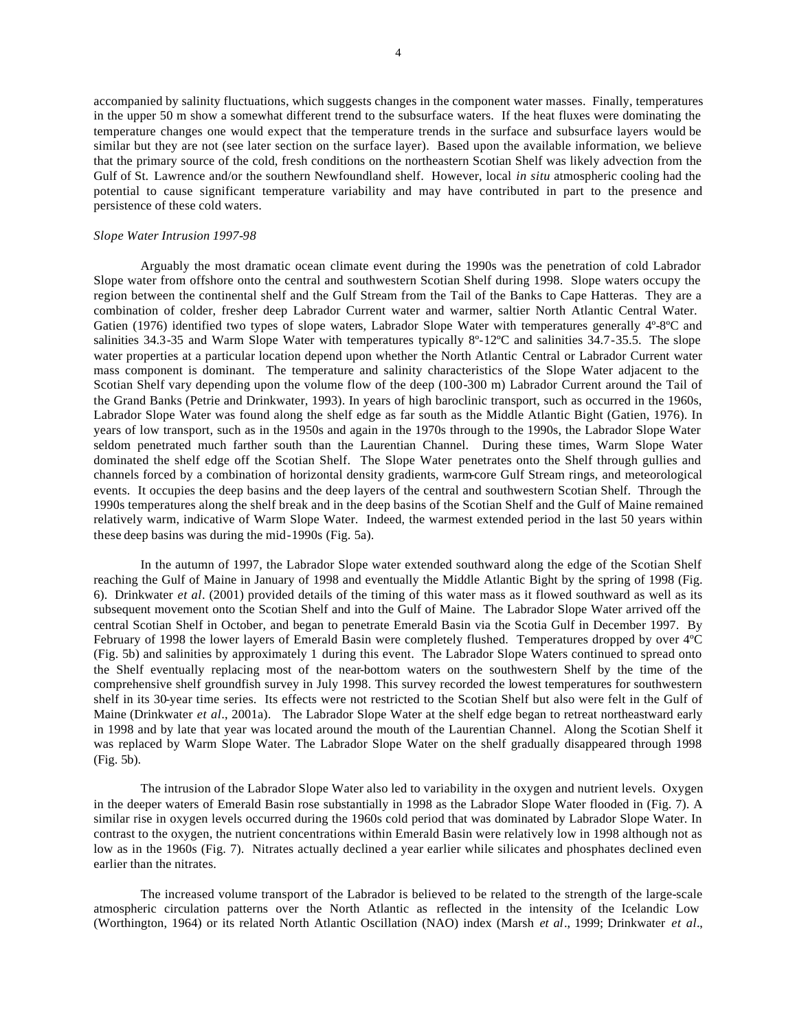accompanied by salinity fluctuations, which suggests changes in the component water masses. Finally, temperatures in the upper 50 m show a somewhat different trend to the subsurface waters. If the heat fluxes were dominating the temperature changes one would expect that the temperature trends in the surface and subsurface layers would be similar but they are not (see later section on the surface layer). Based upon the available information, we believe that the primary source of the cold, fresh conditions on the northeastern Scotian Shelf was likely advection from the Gulf of St. Lawrence and/or the southern Newfoundland shelf. However, local *in situ* atmospheric cooling had the potential to cause significant temperature variability and may have contributed in part to the presence and persistence of these cold waters.

#### *Slope Water Intrusion 1997-98*

Arguably the most dramatic ocean climate event during the 1990s was the penetration of cold Labrador Slope water from offshore onto the central and southwestern Scotian Shelf during 1998. Slope waters occupy the region between the continental shelf and the Gulf Stream from the Tail of the Banks to Cape Hatteras. They are a combination of colder, fresher deep Labrador Current water and warmer, saltier North Atlantic Central Water. Gatien (1976) identified two types of slope waters, Labrador Slope Water with temperatures generally 4º-8ºC and salinities 34.3-35 and Warm Slope Water with temperatures typically 8º-12ºC and salinities 34.7-35.5. The slope water properties at a particular location depend upon whether the North Atlantic Central or Labrador Current water mass component is dominant. The temperature and salinity characteristics of the Slope Water adjacent to the Scotian Shelf vary depending upon the volume flow of the deep (100-300 m) Labrador Current around the Tail of the Grand Banks (Petrie and Drinkwater, 1993). In years of high baroclinic transport, such as occurred in the 1960s, Labrador Slope Water was found along the shelf edge as far south as the Middle Atlantic Bight (Gatien, 1976). In years of low transport, such as in the 1950s and again in the 1970s through to the 1990s, the Labrador Slope Water seldom penetrated much farther south than the Laurentian Channel. During these times, Warm Slope Water dominated the shelf edge off the Scotian Shelf. The Slope Water penetrates onto the Shelf through gullies and channels forced by a combination of horizontal density gradients, warm-core Gulf Stream rings, and meteorological events. It occupies the deep basins and the deep layers of the central and southwestern Scotian Shelf. Through the 1990s temperatures along the shelf break and in the deep basins of the Scotian Shelf and the Gulf of Maine remained relatively warm, indicative of Warm Slope Water. Indeed, the warmest extended period in the last 50 years within these deep basins was during the mid-1990s (Fig. 5a).

In the autumn of 1997, the Labrador Slope water extended southward along the edge of the Scotian Shelf reaching the Gulf of Maine in January of 1998 and eventually the Middle Atlantic Bight by the spring of 1998 (Fig. 6). Drinkwater *et al*. (2001) provided details of the timing of this water mass as it flowed southward as well as its subsequent movement onto the Scotian Shelf and into the Gulf of Maine. The Labrador Slope Water arrived off the central Scotian Shelf in October, and began to penetrate Emerald Basin via the Scotia Gulf in December 1997. By February of 1998 the lower layers of Emerald Basin were completely flushed. Temperatures dropped by over 4ºC (Fig. 5b) and salinities by approximately 1 during this event. The Labrador Slope Waters continued to spread onto the Shelf eventually replacing most of the near-bottom waters on the southwestern Shelf by the time of the comprehensive shelf groundfish survey in July 1998. This survey recorded the lowest temperatures for southwestern shelf in its 30-year time series. Its effects were not restricted to the Scotian Shelf but also were felt in the Gulf of Maine (Drinkwater *et al*., 2001a). The Labrador Slope Water at the shelf edge began to retreat northeastward early in 1998 and by late that year was located around the mouth of the Laurentian Channel. Along the Scotian Shelf it was replaced by Warm Slope Water. The Labrador Slope Water on the shelf gradually disappeared through 1998 (Fig. 5b).

The intrusion of the Labrador Slope Water also led to variability in the oxygen and nutrient levels. Oxygen in the deeper waters of Emerald Basin rose substantially in 1998 as the Labrador Slope Water flooded in (Fig. 7). A similar rise in oxygen levels occurred during the 1960s cold period that was dominated by Labrador Slope Water. In contrast to the oxygen, the nutrient concentrations within Emerald Basin were relatively low in 1998 although not as low as in the 1960s (Fig. 7). Nitrates actually declined a year earlier while silicates and phosphates declined even earlier than the nitrates.

The increased volume transport of the Labrador is believed to be related to the strength of the large-scale atmospheric circulation patterns over the North Atlantic as reflected in the intensity of the Icelandic Low (Worthington, 1964) or its related North Atlantic Oscillation (NAO) index (Marsh *et al*., 1999; Drinkwater *et al*.,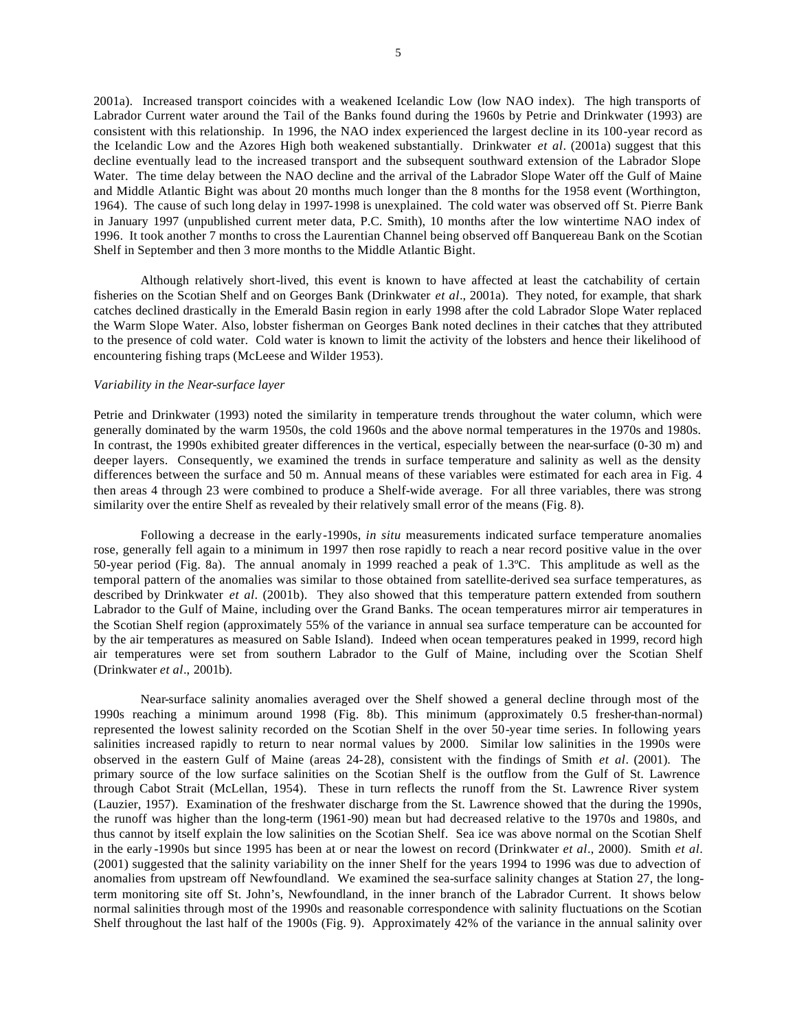5

2001a). Increased transport coincides with a weakened Icelandic Low (low NAO index). The high transports of Labrador Current water around the Tail of the Banks found during the 1960s by Petrie and Drinkwater (1993) are consistent with this relationship. In 1996, the NAO index experienced the largest decline in its 100-year record as the Icelandic Low and the Azores High both weakened substantially. Drinkwater *et al*. (2001a) suggest that this decline eventually lead to the increased transport and the subsequent southward extension of the Labrador Slope Water. The time delay between the NAO decline and the arrival of the Labrador Slope Water off the Gulf of Maine and Middle Atlantic Bight was about 20 months much longer than the 8 months for the 1958 event (Worthington, 1964). The cause of such long delay in 1997-1998 is unexplained. The cold water was observed off St. Pierre Bank in January 1997 (unpublished current meter data, P.C. Smith), 10 months after the low wintertime NAO index of 1996. It took another 7 months to cross the Laurentian Channel being observed off Banquereau Bank on the Scotian Shelf in September and then 3 more months to the Middle Atlantic Bight.

Although relatively short-lived, this event is known to have affected at least the catchability of certain fisheries on the Scotian Shelf and on Georges Bank (Drinkwater *et al*., 2001a). They noted, for example, that shark catches declined drastically in the Emerald Basin region in early 1998 after the cold Labrador Slope Water replaced the Warm Slope Water. Also, lobster fisherman on Georges Bank noted declines in their catches that they attributed to the presence of cold water. Cold water is known to limit the activity of the lobsters and hence their likelihood of encountering fishing traps (McLeese and Wilder 1953).

## *Variability in the Near-surface layer*

Petrie and Drinkwater (1993) noted the similarity in temperature trends throughout the water column, which were generally dominated by the warm 1950s, the cold 1960s and the above normal temperatures in the 1970s and 1980s. In contrast, the 1990s exhibited greater differences in the vertical, especially between the near-surface (0-30 m) and deeper layers. Consequently, we examined the trends in surface temperature and salinity as well as the density differences between the surface and 50 m. Annual means of these variables were estimated for each area in Fig. 4 then areas 4 through 23 were combined to produce a Shelf-wide average. For all three variables, there was strong similarity over the entire Shelf as revealed by their relatively small error of the means (Fig. 8).

Following a decrease in the early-1990s, *in situ* measurements indicated surface temperature anomalies rose, generally fell again to a minimum in 1997 then rose rapidly to reach a near record positive value in the over 50-year period (Fig. 8a). The annual anomaly in 1999 reached a peak of 1.3ºC. This amplitude as well as the temporal pattern of the anomalies was similar to those obtained from satellite-derived sea surface temperatures, as described by Drinkwater *et al*. (2001b). They also showed that this temperature pattern extended from southern Labrador to the Gulf of Maine, including over the Grand Banks. The ocean temperatures mirror air temperatures in the Scotian Shelf region (approximately 55% of the variance in annual sea surface temperature can be accounted for by the air temperatures as measured on Sable Island). Indeed when ocean temperatures peaked in 1999, record high air temperatures were set from southern Labrador to the Gulf of Maine, including over the Scotian Shelf (Drinkwater *et al*., 2001b).

Near-surface salinity anomalies averaged over the Shelf showed a general decline through most of the 1990s reaching a minimum around 1998 (Fig. 8b). This minimum (approximately 0.5 fresher-than-normal) represented the lowest salinity recorded on the Scotian Shelf in the over 50-year time series. In following years salinities increased rapidly to return to near normal values by 2000. Similar low salinities in the 1990s were observed in the eastern Gulf of Maine (areas 24-28), consistent with the findings of Smith *et al*. (2001). The primary source of the low surface salinities on the Scotian Shelf is the outflow from the Gulf of St. Lawrence through Cabot Strait (McLellan, 1954). These in turn reflects the runoff from the St. Lawrence River system (Lauzier, 1957). Examination of the freshwater discharge from the St. Lawrence showed that the during the 1990s, the runoff was higher than the long-term (1961-90) mean but had decreased relative to the 1970s and 1980s, and thus cannot by itself explain the low salinities on the Scotian Shelf. Sea ice was above normal on the Scotian Shelf in the early -1990s but since 1995 has been at or near the lowest on record (Drinkwater *et al*., 2000). Smith *et al*. (2001) suggested that the salinity variability on the inner Shelf for the years 1994 to 1996 was due to advection of anomalies from upstream off Newfoundland. We examined the sea-surface salinity changes at Station 27, the longterm monitoring site off St. John's, Newfoundland, in the inner branch of the Labrador Current. It shows below normal salinities through most of the 1990s and reasonable correspondence with salinity fluctuations on the Scotian Shelf throughout the last half of the 1900s (Fig. 9). Approximately 42% of the variance in the annual salinity over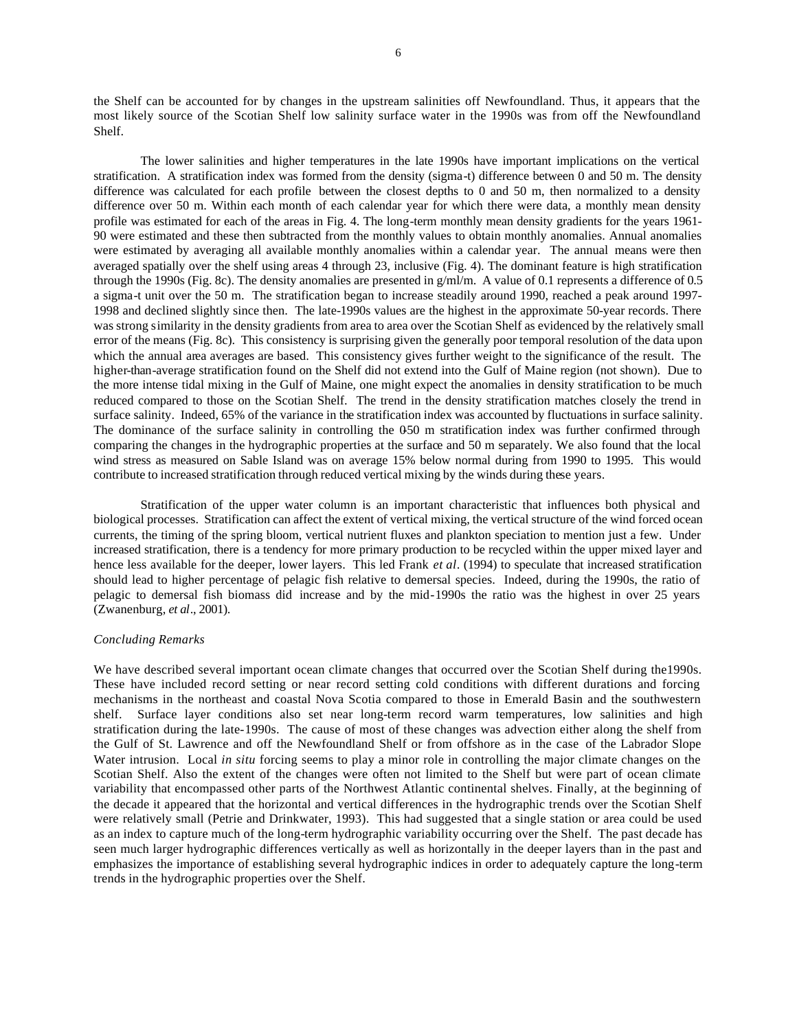the Shelf can be accounted for by changes in the upstream salinities off Newfoundland. Thus, it appears that the most likely source of the Scotian Shelf low salinity surface water in the 1990s was from off the Newfoundland Shelf.

The lower salinities and higher temperatures in the late 1990s have important implications on the vertical stratification. A stratification index was formed from the density (sigma-t) difference between 0 and 50 m. The density difference was calculated for each profile between the closest depths to 0 and 50 m, then normalized to a density difference over 50 m. Within each month of each calendar year for which there were data, a monthly mean density profile was estimated for each of the areas in Fig. 4. The long-term monthly mean density gradients for the years 1961- 90 were estimated and these then subtracted from the monthly values to obtain monthly anomalies. Annual anomalies were estimated by averaging all available monthly anomalies within a calendar year. The annual means were then averaged spatially over the shelf using areas 4 through 23, inclusive (Fig. 4). The dominant feature is high stratification through the 1990s (Fig. 8c). The density anomalies are presented in  $g/m/m$ . A value of 0.1 represents a difference of 0.5 a sigma-t unit over the 50 m. The stratification began to increase steadily around 1990, reached a peak around 1997- 1998 and declined slightly since then. The late-1990s values are the highest in the approximate 50-year records. There was strong similarity in the density gradients from area to area over the Scotian Shelf as evidenced by the relatively small error of the means (Fig. 8c). This consistency is surprising given the generally poor temporal resolution of the data upon which the annual area averages are based. This consistency gives further weight to the significance of the result. The higher-than-average stratification found on the Shelf did not extend into the Gulf of Maine region (not shown). Due to the more intense tidal mixing in the Gulf of Maine, one might expect the anomalies in density stratification to be much reduced compared to those on the Scotian Shelf. The trend in the density stratification matches closely the trend in surface salinity. Indeed, 65% of the variance in the stratification index was accounted by fluctuations in surface salinity. The dominance of the surface salinity in controlling the 050 m stratification index was further confirmed through comparing the changes in the hydrographic properties at the surface and 50 m separately. We also found that the local wind stress as measured on Sable Island was on average 15% below normal during from 1990 to 1995. This would contribute to increased stratification through reduced vertical mixing by the winds during these years.

Stratification of the upper water column is an important characteristic that influences both physical and biological processes. Stratification can affect the extent of vertical mixing, the vertical structure of the wind forced ocean currents, the timing of the spring bloom, vertical nutrient fluxes and plankton speciation to mention just a few. Under increased stratification, there is a tendency for more primary production to be recycled within the upper mixed layer and hence less available for the deeper, lower layers. This led Frank *et al*. (1994) to speculate that increased stratification should lead to higher percentage of pelagic fish relative to demersal species. Indeed, during the 1990s, the ratio of pelagic to demersal fish biomass did increase and by the mid-1990s the ratio was the highest in over 25 years (Zwanenburg, *et al*., 2001).

#### *Concluding Remarks*

We have described several important ocean climate changes that occurred over the Scotian Shelf during the1990s. These have included record setting or near record setting cold conditions with different durations and forcing mechanisms in the northeast and coastal Nova Scotia compared to those in Emerald Basin and the southwestern shelf. Surface layer conditions also set near long-term record warm temperatures, low salinities and high stratification during the late-1990s. The cause of most of these changes was advection either along the shelf from the Gulf of St. Lawrence and off the Newfoundland Shelf or from offshore as in the case of the Labrador Slope Water intrusion. Local *in situ* forcing seems to play a minor role in controlling the major climate changes on the Scotian Shelf. Also the extent of the changes were often not limited to the Shelf but were part of ocean climate variability that encompassed other parts of the Northwest Atlantic continental shelves. Finally, at the beginning of the decade it appeared that the horizontal and vertical differences in the hydrographic trends over the Scotian Shelf were relatively small (Petrie and Drinkwater, 1993). This had suggested that a single station or area could be used as an index to capture much of the long-term hydrographic variability occurring over the Shelf. The past decade has seen much larger hydrographic differences vertically as well as horizontally in the deeper layers than in the past and emphasizes the importance of establishing several hydrographic indices in order to adequately capture the long-term trends in the hydrographic properties over the Shelf.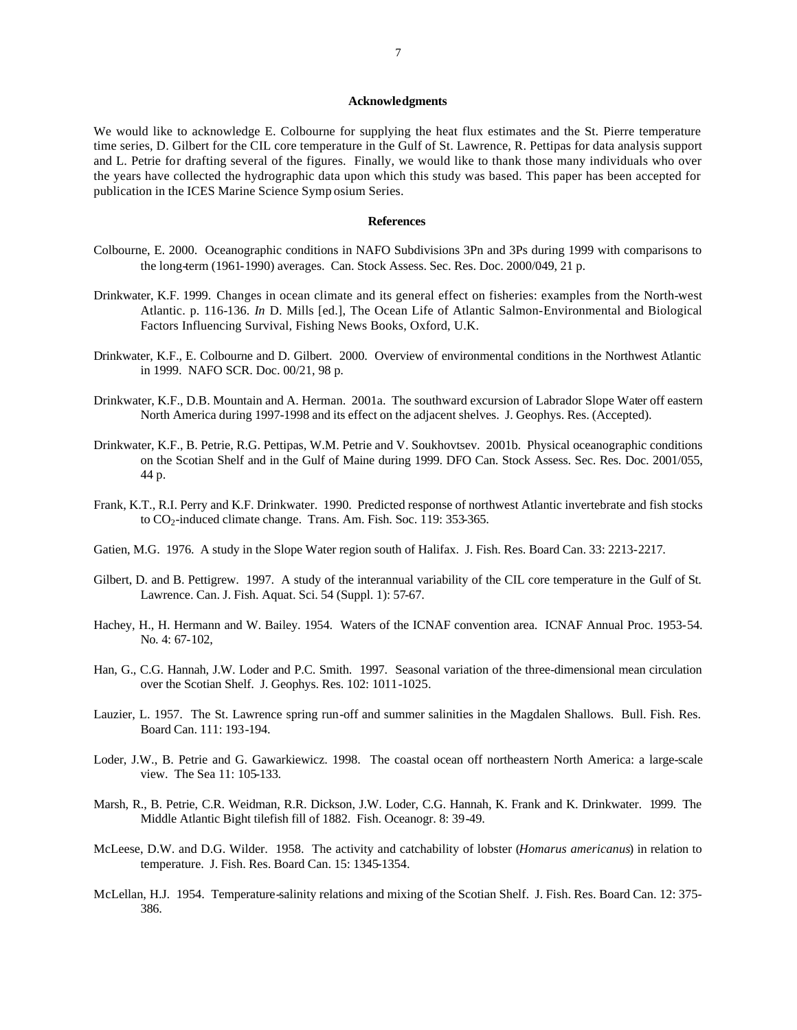#### **Acknowledgments**

We would like to acknowledge E. Colbourne for supplying the heat flux estimates and the St. Pierre temperature time series, D. Gilbert for the CIL core temperature in the Gulf of St. Lawrence, R. Pettipas for data analysis support and L. Petrie for drafting several of the figures. Finally, we would like to thank those many individuals who over the years have collected the hydrographic data upon which this study was based. This paper has been accepted for publication in the ICES Marine Science Symp osium Series.

### **References**

- Colbourne, E. 2000. Oceanographic conditions in NAFO Subdivisions 3Pn and 3Ps during 1999 with comparisons to the long-term (1961-1990) averages. Can. Stock Assess. Sec. Res. Doc. 2000/049, 21 p.
- Drinkwater, K.F. 1999. Changes in ocean climate and its general effect on fisheries: examples from the North-west Atlantic. p. 116-136. *In* D. Mills [ed.], The Ocean Life of Atlantic Salmon-Environmental and Biological Factors Influencing Survival, Fishing News Books, Oxford, U.K.
- Drinkwater, K.F., E. Colbourne and D. Gilbert. 2000. Overview of environmental conditions in the Northwest Atlantic in 1999. NAFO SCR. Doc. 00/21, 98 p.
- Drinkwater, K.F., D.B. Mountain and A. Herman. 2001a. The southward excursion of Labrador Slope Water off eastern North America during 1997-1998 and its effect on the adjacent shelves. J. Geophys. Res. (Accepted).
- Drinkwater, K.F., B. Petrie, R.G. Pettipas, W.M. Petrie and V. Soukhovtsev. 2001b. Physical oceanographic conditions on the Scotian Shelf and in the Gulf of Maine during 1999. DFO Can. Stock Assess. Sec. Res. Doc. 2001/055, 44 p.
- Frank, K.T., R.I. Perry and K.F. Drinkwater. 1990. Predicted response of northwest Atlantic invertebrate and fish stocks to  $CO<sub>2</sub>$ -induced climate change. Trans. Am. Fish. Soc. 119: 353-365.
- Gatien, M.G. 1976. A study in the Slope Water region south of Halifax. J. Fish. Res. Board Can. 33: 2213-2217.
- Gilbert, D. and B. Pettigrew. 1997. A study of the interannual variability of the CIL core temperature in the Gulf of St. Lawrence. Can. J. Fish. Aquat. Sci. 54 (Suppl. 1): 57-67.
- Hachey, H., H. Hermann and W. Bailey. 1954. Waters of the ICNAF convention area. ICNAF Annual Proc. 1953-54. No. 4: 67-102,
- Han, G., C.G. Hannah, J.W. Loder and P.C. Smith. 1997. Seasonal variation of the three-dimensional mean circulation over the Scotian Shelf. J. Geophys. Res. 102: 1011-1025.
- Lauzier, L. 1957. The St. Lawrence spring run-off and summer salinities in the Magdalen Shallows. Bull. Fish. Res. Board Can. 111: 193-194.
- Loder, J.W., B. Petrie and G. Gawarkiewicz. 1998. The coastal ocean off northeastern North America: a large-scale view. The Sea 11: 105-133.
- Marsh, R., B. Petrie, C.R. Weidman, R.R. Dickson, J.W. Loder, C.G. Hannah, K. Frank and K. Drinkwater. 1999. The Middle Atlantic Bight tilefish fill of 1882. Fish. Oceanogr. 8: 39-49.
- McLeese, D.W. and D.G. Wilder. 1958. The activity and catchability of lobster (*Homarus americanus*) in relation to temperature. J. Fish. Res. Board Can. 15: 1345-1354.
- McLellan, H.J. 1954. Temperature-salinity relations and mixing of the Scotian Shelf. J. Fish. Res. Board Can. 12: 375- 386.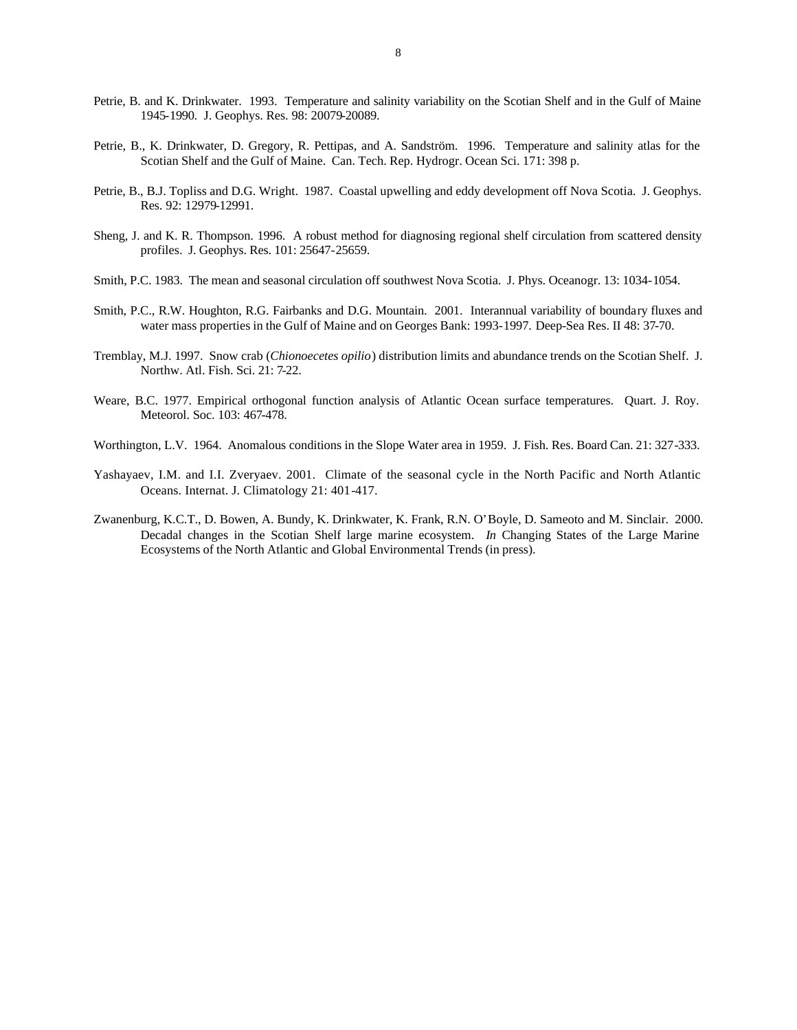- Petrie, B. and K. Drinkwater. 1993. Temperature and salinity variability on the Scotian Shelf and in the Gulf of Maine 1945-1990. J. Geophys. Res. 98: 20079-20089.
- Petrie, B., K. Drinkwater, D. Gregory, R. Pettipas, and A. Sandström. 1996. Temperature and salinity atlas for the Scotian Shelf and the Gulf of Maine. Can. Tech. Rep. Hydrogr. Ocean Sci. 171: 398 p.
- Petrie, B., B.J. Topliss and D.G. Wright. 1987. Coastal upwelling and eddy development off Nova Scotia. J. Geophys. Res. 92: 12979-12991.
- Sheng, J. and K. R. Thompson. 1996. A robust method for diagnosing regional shelf circulation from scattered density profiles. J. Geophys. Res. 101: 25647-25659.
- Smith, P.C. 1983. The mean and seasonal circulation off southwest Nova Scotia. J. Phys. Oceanogr. 13: 1034-1054.
- Smith, P.C., R.W. Houghton, R.G. Fairbanks and D.G. Mountain. 2001. Interannual variability of boundary fluxes and water mass properties in the Gulf of Maine and on Georges Bank: 1993-1997. Deep-Sea Res. II 48: 37-70.
- Tremblay, M.J. 1997. Snow crab (*Chionoecetes opilio*) distribution limits and abundance trends on the Scotian Shelf. J. Northw. Atl. Fish. Sci. 21: 7-22.
- Weare, B.C. 1977. Empirical orthogonal function analysis of Atlantic Ocean surface temperatures. Quart. J. Roy. Meteorol. Soc. 103: 467-478.
- Worthington, L.V. 1964. Anomalous conditions in the Slope Water area in 1959. J. Fish. Res. Board Can. 21: 327-333.
- Yashayaev, I.M. and I.I. Zveryaev. 2001. Climate of the seasonal cycle in the North Pacific and North Atlantic Oceans. Internat. J. Climatology 21: 401-417.
- Zwanenburg, K.C.T., D. Bowen, A. Bundy, K. Drinkwater, K. Frank, R.N. O'Boyle, D. Sameoto and M. Sinclair. 2000. Decadal changes in the Scotian Shelf large marine ecosystem. *In* Changing States of the Large Marine Ecosystems of the North Atlantic and Global Environmental Trends (in press).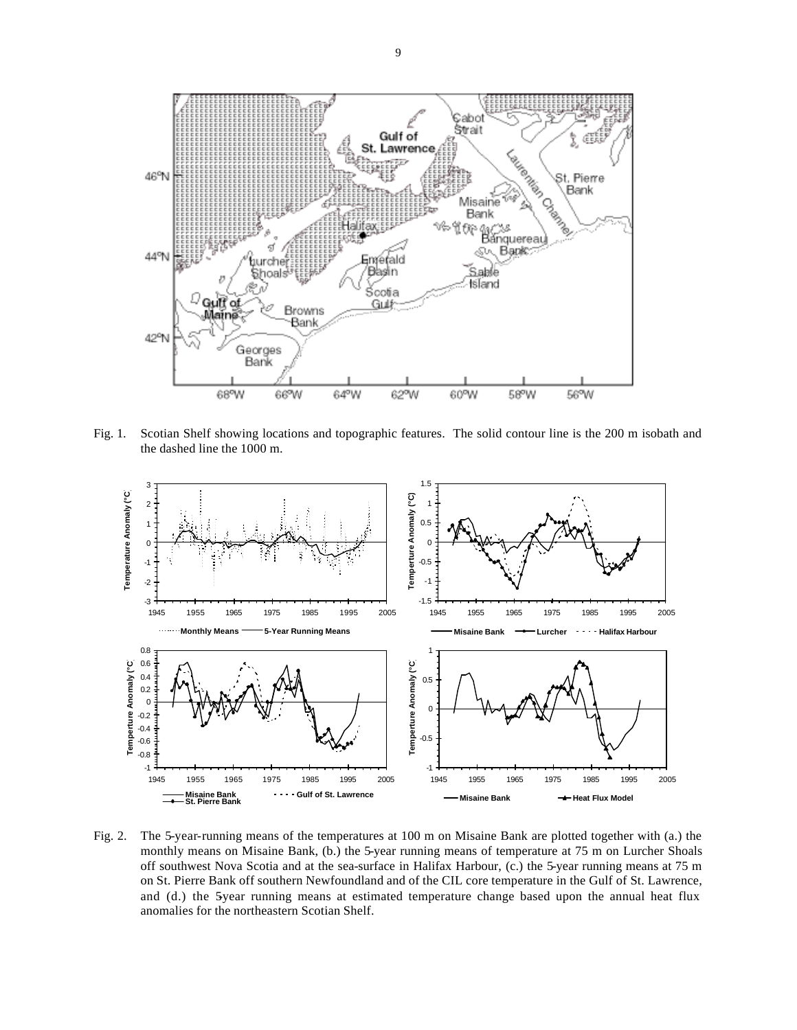

Fig. 1. Scotian Shelf showing locations and topographic features. The solid contour line is the 200 m isobath and the dashed line the 1000 m.



Fig. 2. The 5-year-running means of the temperatures at 100 m on Misaine Bank are plotted together with (a.) the monthly means on Misaine Bank, (b.) the 5-year running means of temperature at 75 m on Lurcher Shoals off southwest Nova Scotia and at the sea-surface in Halifax Harbour, (c.) the 5-year running means at 75 m on St. Pierre Bank off southern Newfoundland and of the CIL core temperature in the Gulf of St. Lawrence, and (d.) the 5year running means at estimated temperature change based upon the annual heat flux anomalies for the northeastern Scotian Shelf.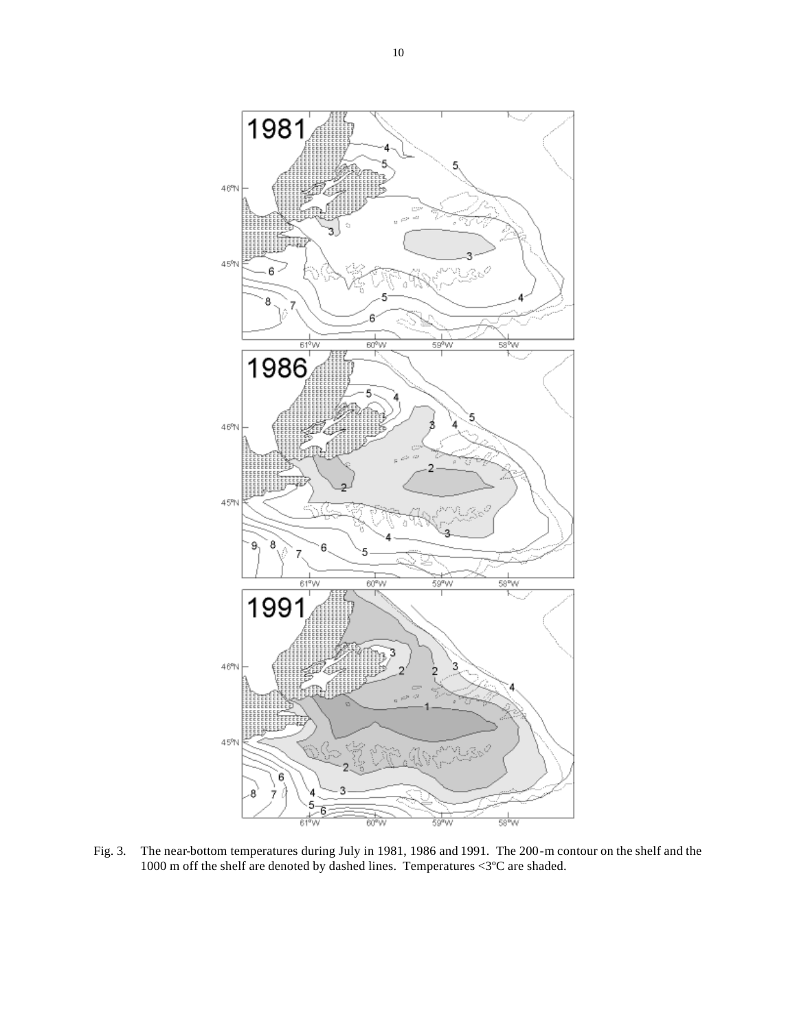

Fig. 3. The near-bottom temperatures during July in 1981, 1986 and 1991. The 200-m contour on the shelf and the 1000 m off the shelf are denoted by dashed lines. Temperatures  $\langle 3^{\circ}$ C are shaded.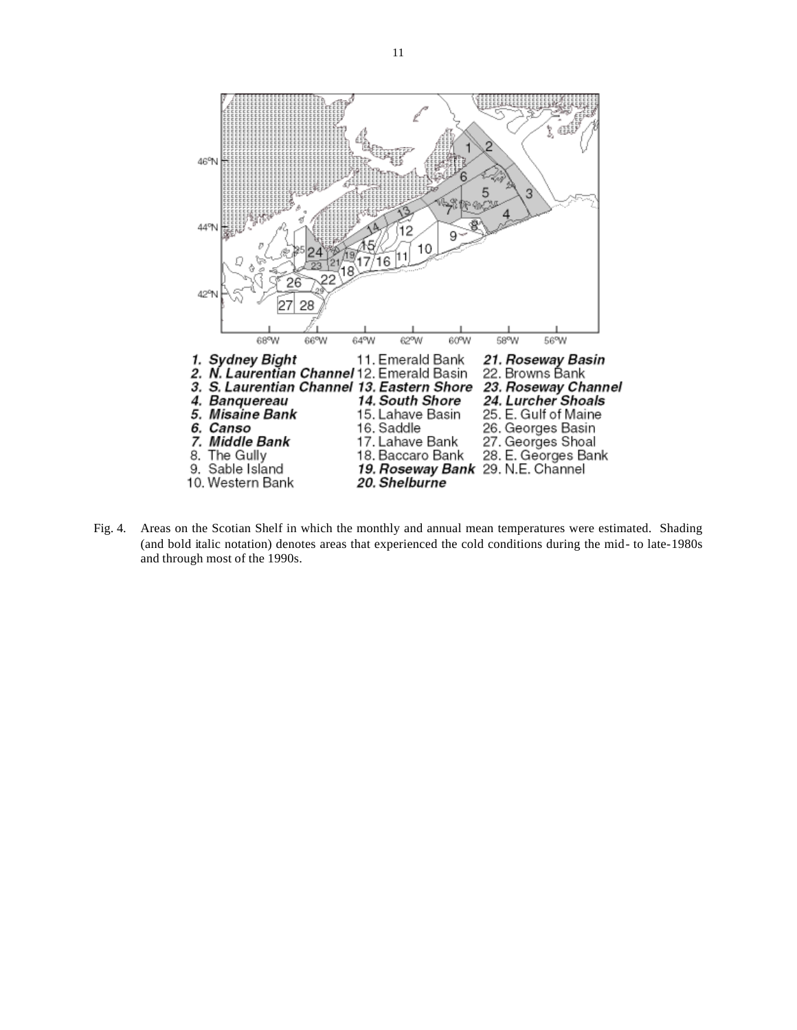

Fig. 4. Areas on the Scotian Shelf in which the monthly and annual mean temperatures were estimated. Shading (and bold italic notation) denotes areas that experienced the cold conditions during the mid- to late-1980s and through most of the 1990s.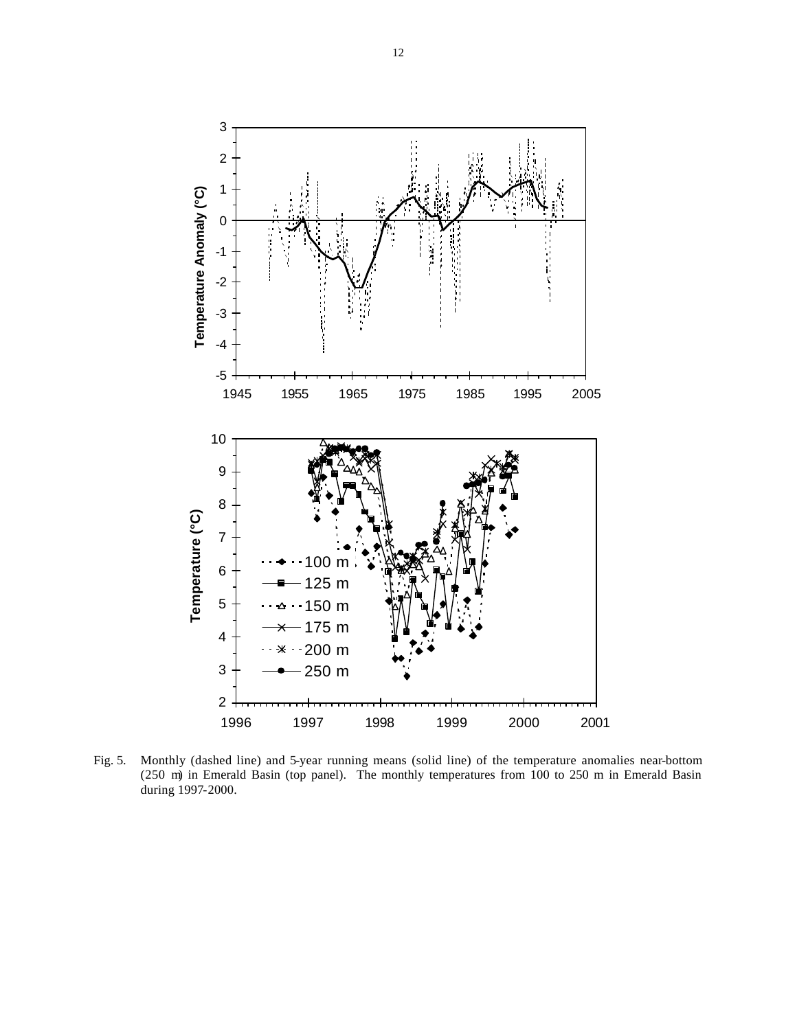

Fig. 5. Monthly (dashed line) and 5-year running means (solid line) of the temperature anomalies near-bottom (250 m) in Emerald Basin (top panel). The monthly temperatures from 100 to 250 m in Emerald Basin during 1997-2000.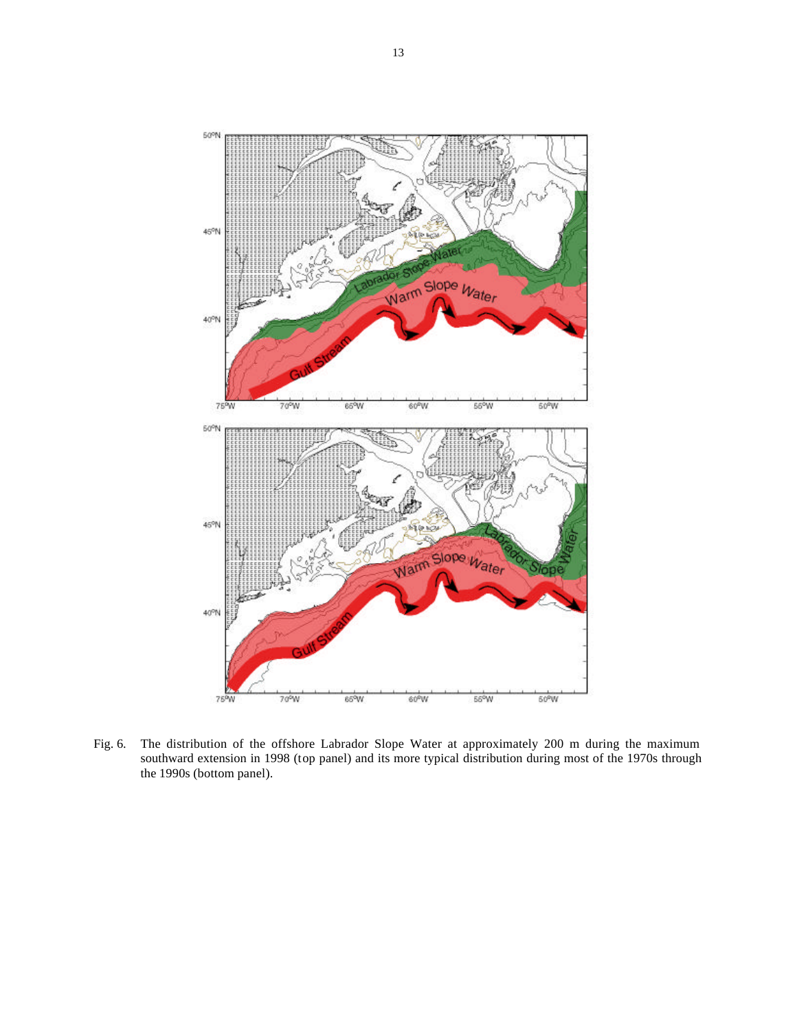

Fig. 6. The distribution of the offshore Labrador Slope Water at approximately 200 m during the maximum southward extension in 1998 (top panel) and its more typical distribution during most of the 1970s through the 1990s (bottom panel).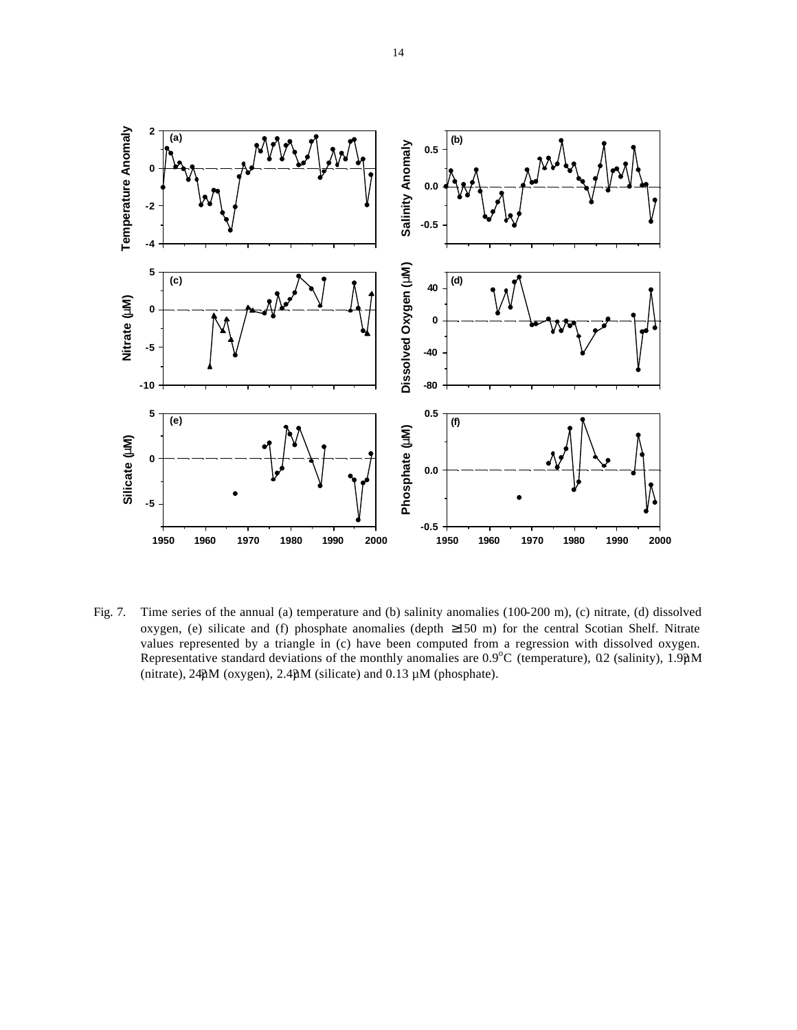

Fig. 7. Time series of the annual (a) temperature and (b) salinity anomalies (100-200 m), (c) nitrate, (d) dissolved oxygen, (e) silicate and (f) phosphate anomalies (depth ≥150 m) for the central Scotian Shelf. Nitrate values represented by a triangle in (c) have been computed from a regression with dissolved oxygen. Representative standard deviations of the monthly anomalies are  $0.9^{\circ}$ C (temperature), 0.2 (salinity), 1.9 $\mu$ M (nitrate),  $24\mu$ M (oxygen),  $2.4\mu$ M (silicate) and  $0.13 \mu$ M (phosphate).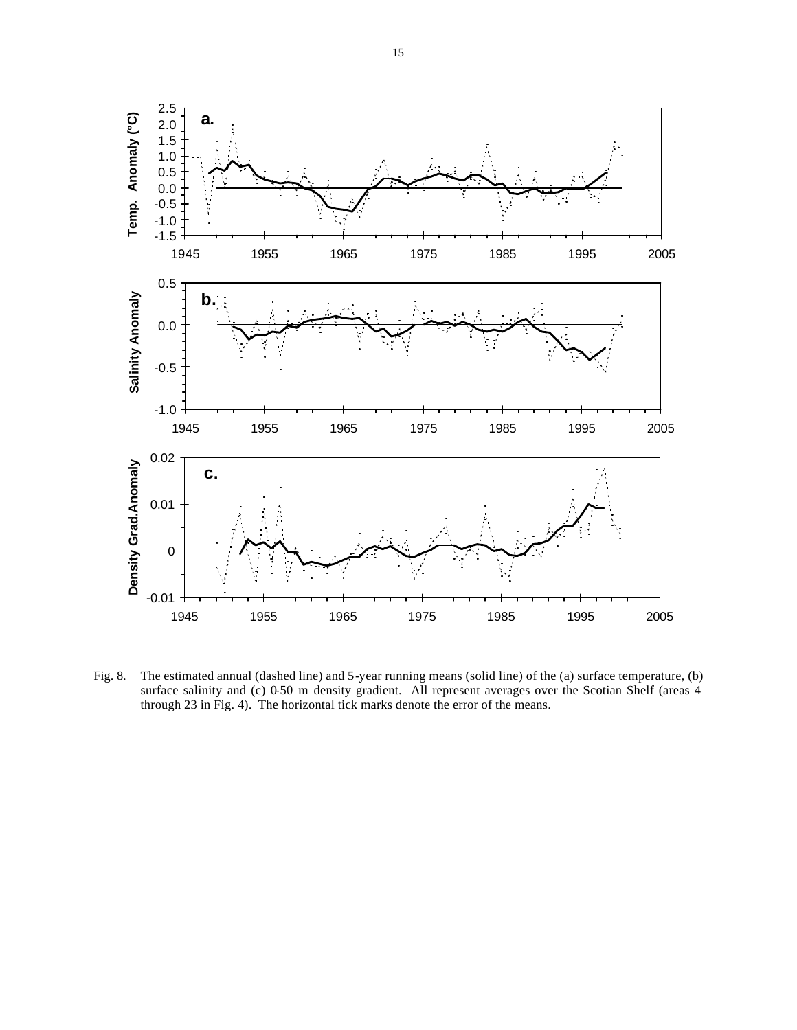

Fig. 8. The estimated annual (dashed line) and 5-year running means (solid line) of the (a) surface temperature, (b) surface salinity and (c) 0-50 m density gradient. All represent averages over the Scotian Shelf (areas 4 through 23 in Fig. 4). The horizontal tick marks denote the error of the means.